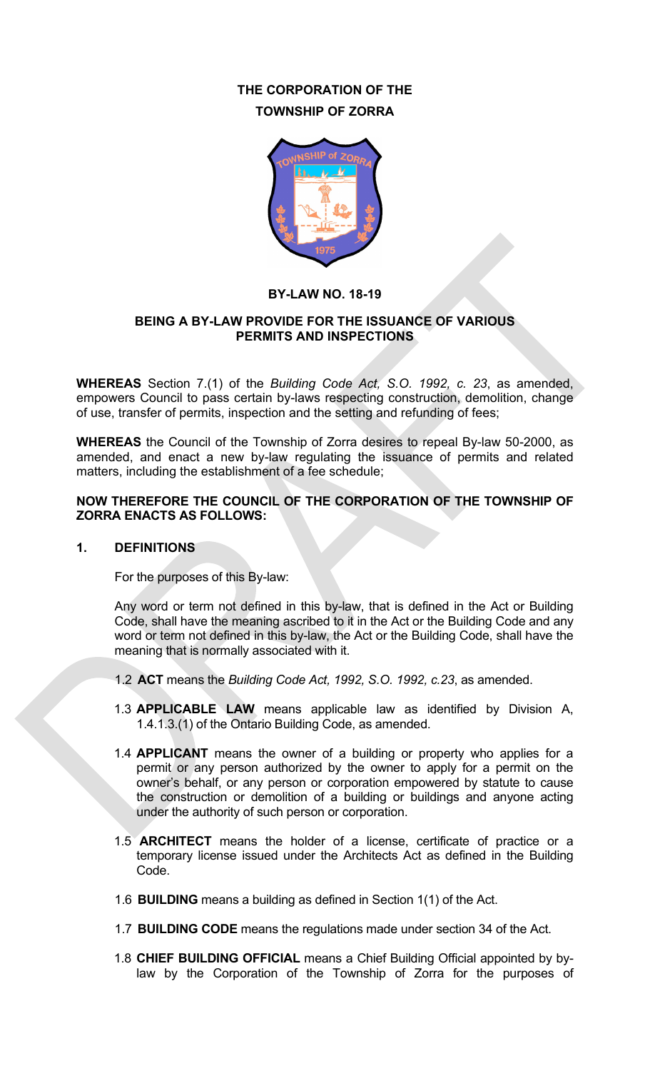# **THE CORPORATION OF THE TOWNSHIP OF ZORRA**



#### **BY-LAW NO. 18-19**

#### **BEING A BY-LAW PROVIDE FOR THE ISSUANCE OF VARIOUS PERMITS AND INSPECTIONS**

**WHEREAS** Section 7.(1) of the *Building Code Act, S.O. 1992, c. 23*, as amended, empowers Council to pass certain by-laws respecting construction, demolition, change of use, transfer of permits, inspection and the setting and refunding of fees;

**WHEREAS** the Council of the Township of Zorra desires to repeal By-law 50-2000, as amended, and enact a new by-law regulating the issuance of permits and related matters, including the establishment of a fee schedule;

#### **NOW THEREFORE THE COUNCIL OF THE CORPORATION OF THE TOWNSHIP OF ZORRA ENACTS AS FOLLOWS:**

#### **1. DEFINITIONS**

For the purposes of this By-law:

Any word or term not defined in this by-law, that is defined in the Act or Building Code, shall have the meaning ascribed to it in the Act or the Building Code and any word or term not defined in this by-law, the Act or the Building Code, shall have the meaning that is normally associated with it.

1.2 **ACT** means the *Building Code Act, 1992, S.O. 1992, c.23*, as amended.

- 1.3 **APPLICABLE LAW** means applicable law as identified by Division A, 1.4.1.3.(1) of the Ontario Building Code, as amended.
- 1.4 **APPLICANT** means the owner of a building or property who applies for a permit or any person authorized by the owner to apply for a permit on the owner's behalf, or any person or corporation empowered by statute to cause the construction or demolition of a building or buildings and anyone acting under the authority of such person or corporation.
- 1.5 **ARCHITECT** means the holder of a license, certificate of practice or a temporary license issued under the Architects Act as defined in the Building Code.
- 1.6 **BUILDING** means a building as defined in Section 1(1) of the Act.
- 1.7 **BUILDING CODE** means the regulations made under section 34 of the Act.
- 1.8 **CHIEF BUILDING OFFICIAL** means a Chief Building Official appointed by bylaw by the Corporation of the Township of Zorra for the purposes of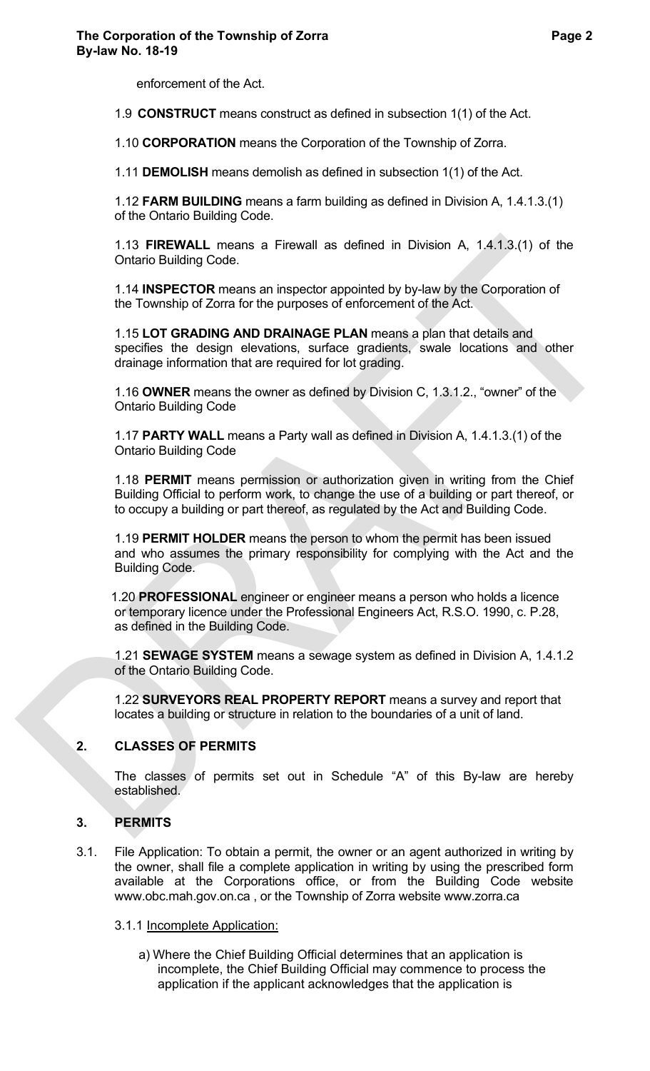enforcement of the Act.

1.9 **CONSTRUCT** means construct as defined in subsection 1(1) of the Act.

1.10 **CORPORATION** means the Corporation of the Township of Zorra.

1.11 **DEMOLISH** means demolish as defined in subsection 1(1) of the Act.

1.12 **FARM BUILDING** means a farm building as defined in Division A, 1.4.1.3.(1) of the Ontario Building Code.

1.13 **FIREWALL** means a Firewall as defined in Division A, 1.4.1.3.(1) of the Ontario Building Code.

1.14 **INSPECTOR** means an inspector appointed by by-law by the Corporation of the Township of Zorra for the purposes of enforcement of the Act.

1.15 **LOT GRADING AND DRAINAGE PLAN** means a plan that details and specifies the design elevations, surface gradients, swale locations and other drainage information that are required for lot grading.

1.16 **OWNER** means the owner as defined by Division C, 1.3.1.2., "owner" of the Ontario Building Code

1.17 **PARTY WALL** means a Party wall as defined in Division A, 1.4.1.3.(1) of the Ontario Building Code

1.18 **PERMIT** means permission or authorization given in writing from the Chief Building Official to perform work, to change the use of a building or part thereof, or to occupy a building or part thereof, as regulated by the Act and Building Code.

1.19 **PERMIT HOLDER** means the person to whom the permit has been issued and who assumes the primary responsibility for complying with the Act and the Building Code.

 1.20 **PROFESSIONAL** engineer or engineer means a person who holds a licence or temporary licence under the Professional Engineers Act, R.S.O. 1990, c. P.28, as defined in the Building Code.

1.21 **SEWAGE SYSTEM** means a sewage system as defined in Division A, 1.4.1.2 of the Ontario Building Code.

1.22 **SURVEYORS REAL PROPERTY REPORT** means a survey and report that locates a building or structure in relation to the boundaries of a unit of land.

## **2. CLASSES OF PERMITS**

The classes of permits set out in Schedule "A" of this By-law are hereby established.

## **3. PERMITS**

3.1. File Application: To obtain a permit, the owner or an agent authorized in writing by the owner, shall file a complete application in writing by using the prescribed form available at the Corporations office, or from the Building Code website www.obc.mah.gov.on.ca , or the Township of Zorra website www.zorra.ca

## 3.1.1 Incomplete Application:

a) Where the Chief Building Official determines that an application is incomplete, the Chief Building Official may commence to process the application if the applicant acknowledges that the application is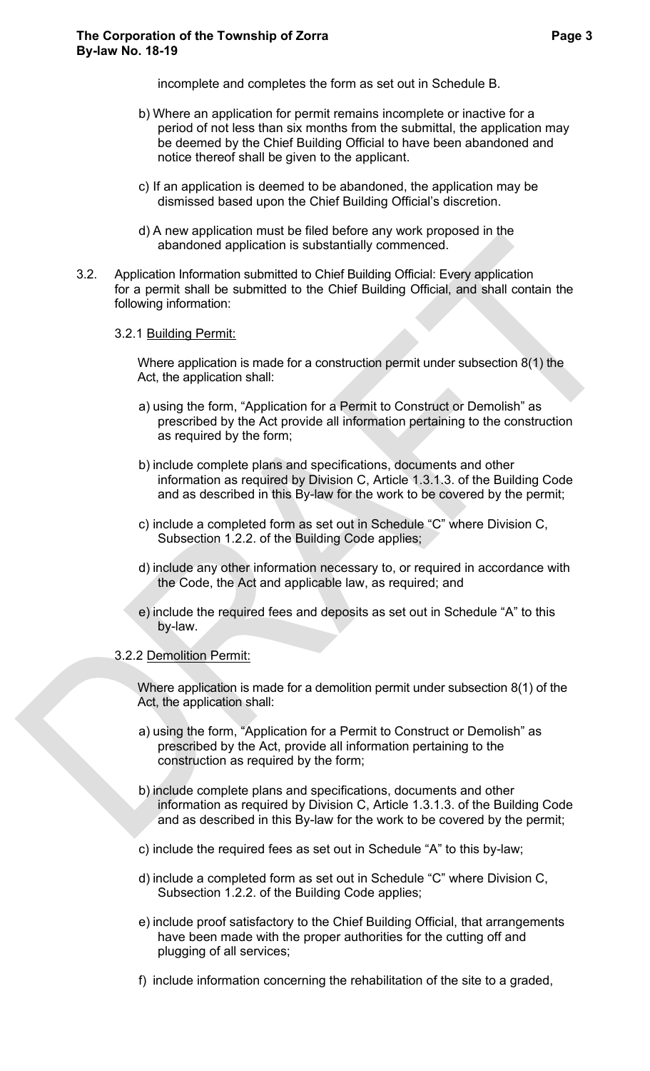incomplete and completes the form as set out in Schedule B.

- b) Where an application for permit remains incomplete or inactive for a period of not less than six months from the submittal, the application may be deemed by the Chief Building Official to have been abandoned and notice thereof shall be given to the applicant.
- c) If an application is deemed to be abandoned, the application may be dismissed based upon the Chief Building Official's discretion.
- d) A new application must be filed before any work proposed in the abandoned application is substantially commenced.
- 3.2. Application Information submitted to Chief Building Official: Every application for a permit shall be submitted to the Chief Building Official, and shall contain the following information:
	- 3.2.1 Building Permit:

 Where application is made for a construction permit under subsection 8(1) the Act, the application shall:

- a) using the form, "Application for a Permit to Construct or Demolish" as prescribed by the Act provide all information pertaining to the construction as required by the form;
- b) include complete plans and specifications, documents and other information as required by Division C, Article 1.3.1.3. of the Building Code and as described in this By-law for the work to be covered by the permit;
- c) include a completed form as set out in Schedule "C" where Division C, Subsection 1.2.2. of the Building Code applies;
- d) include any other information necessary to, or required in accordance with the Code, the Act and applicable law, as required; and
- e) include the required fees and deposits as set out in Schedule "A" to this by-law.

#### 3.2.2 Demolition Permit:

 Where application is made for a demolition permit under subsection 8(1) of the Act, the application shall:

- a) using the form, "Application for a Permit to Construct or Demolish" as prescribed by the Act, provide all information pertaining to the construction as required by the form;
- b) include complete plans and specifications, documents and other information as required by Division C, Article 1.3.1.3. of the Building Code and as described in this By-law for the work to be covered by the permit;
- c) include the required fees as set out in Schedule "A" to this by-law;
- d) include a completed form as set out in Schedule "C" where Division C, Subsection 1.2.2. of the Building Code applies;
- e) include proof satisfactory to the Chief Building Official, that arrangements have been made with the proper authorities for the cutting off and plugging of all services;
- f) include information concerning the rehabilitation of the site to a graded,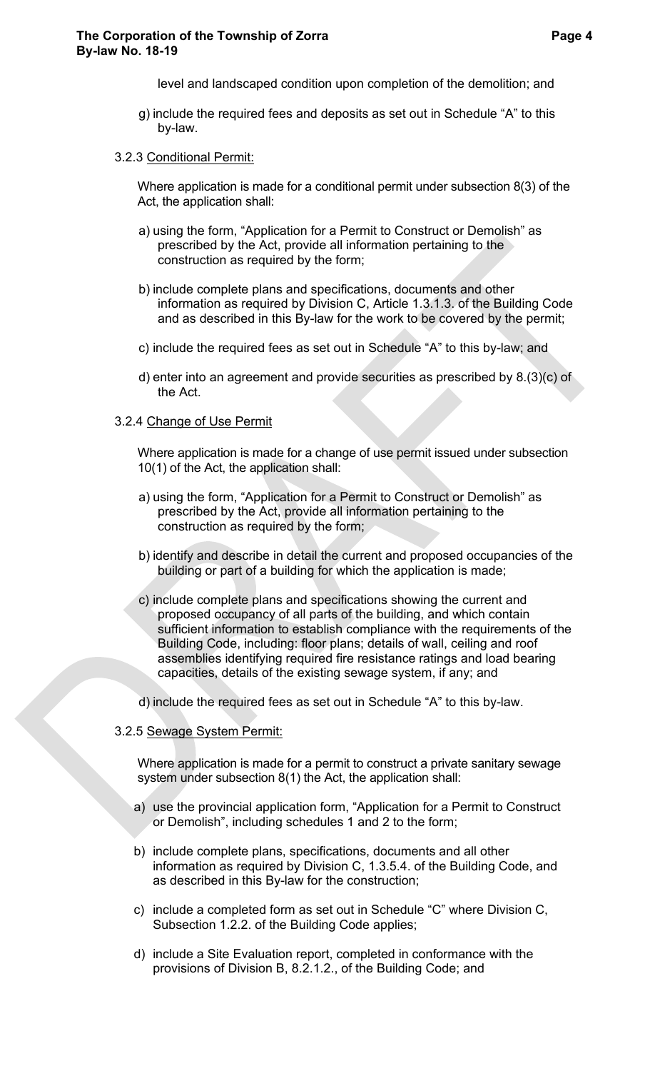level and landscaped condition upon completion of the demolition; and

g) include the required fees and deposits as set out in Schedule "A" to this by-law.

#### 3.2.3 Conditional Permit:

 Where application is made for a conditional permit under subsection 8(3) of the Act, the application shall:

- a) using the form, "Application for a Permit to Construct or Demolish" as prescribed by the Act, provide all information pertaining to the construction as required by the form;
- b) include complete plans and specifications, documents and other information as required by Division C, Article 1.3.1.3. of the Building Code and as described in this By-law for the work to be covered by the permit;
- c) include the required fees as set out in Schedule "A" to this by-law; and
- d) enter into an agreement and provide securities as prescribed by 8.(3)(c) of the Act.

#### 3.2.4 Change of Use Permit

 Where application is made for a change of use permit issued under subsection 10(1) of the Act, the application shall:

- a) using the form, "Application for a Permit to Construct or Demolish" as prescribed by the Act, provide all information pertaining to the construction as required by the form;
- b) identify and describe in detail the current and proposed occupancies of the building or part of a building for which the application is made;
- c) include complete plans and specifications showing the current and proposed occupancy of all parts of the building, and which contain sufficient information to establish compliance with the requirements of the Building Code, including: floor plans; details of wall, ceiling and roof assemblies identifying required fire resistance ratings and load bearing capacities, details of the existing sewage system, if any; and
- d) include the required fees as set out in Schedule "A" to this by-law.

#### 3.2.5 Sewage System Permit:

 Where application is made for a permit to construct a private sanitary sewage system under subsection 8(1) the Act, the application shall:

- a) use the provincial application form, "Application for a Permit to Construct or Demolish", including schedules 1 and 2 to the form;
- b) include complete plans, specifications, documents and all other information as required by Division C, 1.3.5.4. of the Building Code, and as described in this By-law for the construction;
- c) include a completed form as set out in Schedule "C" where Division C, Subsection 1.2.2. of the Building Code applies;
- d) include a Site Evaluation report, completed in conformance with the provisions of Division B, 8.2.1.2., of the Building Code; and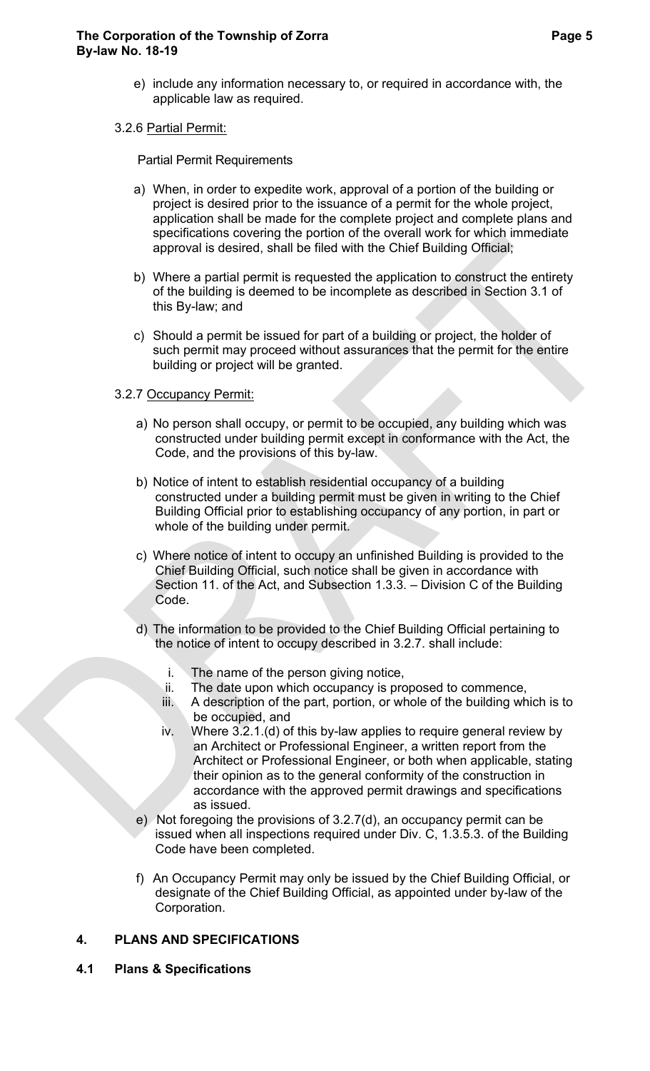e) include any information necessary to, or required in accordance with, the applicable law as required.

#### 3.2.6 Partial Permit:

Partial Permit Requirements

- a) When, in order to expedite work, approval of a portion of the building or project is desired prior to the issuance of a permit for the whole project, application shall be made for the complete project and complete plans and specifications covering the portion of the overall work for which immediate approval is desired, shall be filed with the Chief Building Official;
- b) Where a partial permit is requested the application to construct the entirety of the building is deemed to be incomplete as described in Section 3.1 of this By-law; and
- c) Should a permit be issued for part of a building or project, the holder of such permit may proceed without assurances that the permit for the entire building or project will be granted.

# 3.2.7 Occupancy Permit:

- a) No person shall occupy, or permit to be occupied, any building which was constructed under building permit except in conformance with the Act, the Code, and the provisions of this by-law.
- b) Notice of intent to establish residential occupancy of a building constructed under a building permit must be given in writing to the Chief Building Official prior to establishing occupancy of any portion, in part or whole of the building under permit.
- c) Where notice of intent to occupy an unfinished Building is provided to the Chief Building Official, such notice shall be given in accordance with Section 11. of the Act, and Subsection 1.3.3. – Division C of the Building Code.
- d) The information to be provided to the Chief Building Official pertaining to the notice of intent to occupy described in 3.2.7. shall include:
	- i. The name of the person giving notice,
	- ii. The date upon which occupancy is proposed to commence,
	- iii. A description of the part, portion, or whole of the building which is to be occupied, and
	- iv. Where 3.2.1.(d) of this by-law applies to require general review by an Architect or Professional Engineer, a written report from the Architect or Professional Engineer, or both when applicable, stating their opinion as to the general conformity of the construction in accordance with the approved permit drawings and specifications as issued.
- e) Not foregoing the provisions of 3.2.7(d), an occupancy permit can be issued when all inspections required under Div. C, 1.3.5.3. of the Building Code have been completed.
- f) An Occupancy Permit may only be issued by the Chief Building Official, or designate of the Chief Building Official, as appointed under by-law of the Corporation.

## **4. PLANS AND SPECIFICATIONS**

# **4.1 Plans & Specifications**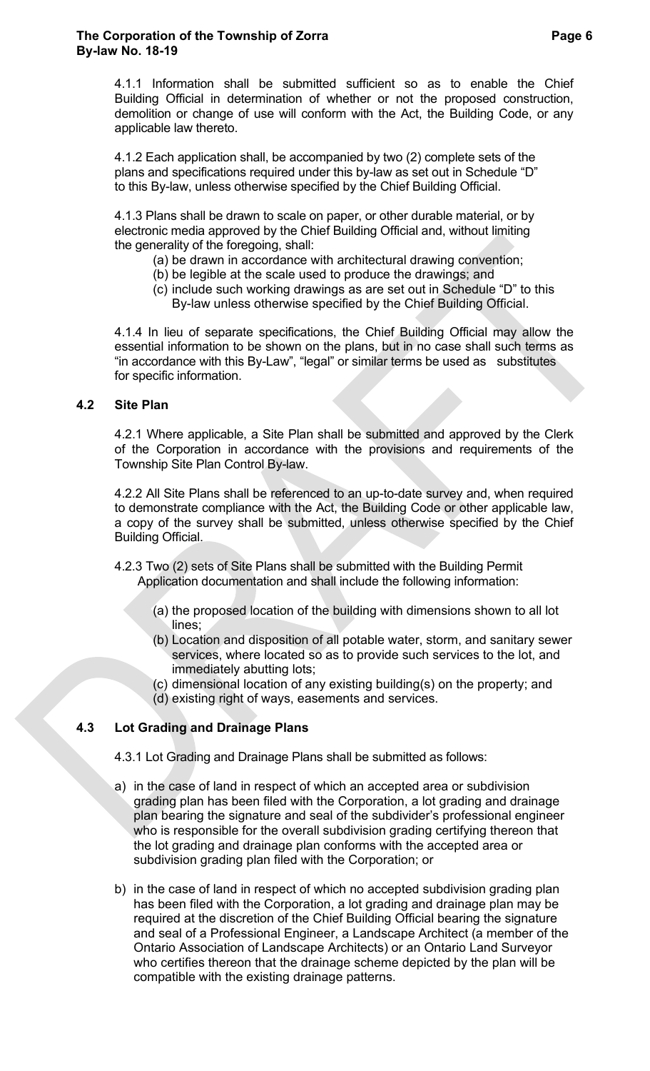4.1.1 Information shall be submitted sufficient so as to enable the Chief Building Official in determination of whether or not the proposed construction, demolition or change of use will conform with the Act, the Building Code, or any applicable law thereto.

4.1.2 Each application shall, be accompanied by two (2) complete sets of the plans and specifications required under this by-law as set out in Schedule "D" to this By-law, unless otherwise specified by the Chief Building Official.

4.1.3 Plans shall be drawn to scale on paper, or other durable material, or by electronic media approved by the Chief Building Official and, without limiting the generality of the foregoing, shall:

- (a) be drawn in accordance with architectural drawing convention;
- (b) be legible at the scale used to produce the drawings; and
- (c) include such working drawings as are set out in Schedule "D" to this By-law unless otherwise specified by the Chief Building Official.

4.1.4 In lieu of separate specifications, the Chief Building Official may allow the essential information to be shown on the plans, but in no case shall such terms as "in accordance with this By-Law", "legal" or similar terms be used as substitutes for specific information.

#### **4.2 Site Plan**

4.2.1 Where applicable, a Site Plan shall be submitted and approved by the Clerk of the Corporation in accordance with the provisions and requirements of the Township Site Plan Control By-law.

4.2.2 All Site Plans shall be referenced to an up-to-date survey and, when required to demonstrate compliance with the Act, the Building Code or other applicable law, a copy of the survey shall be submitted, unless otherwise specified by the Chief Building Official.

- 4.2.3 Two (2) sets of Site Plans shall be submitted with the Building Permit Application documentation and shall include the following information:
	- (a) the proposed location of the building with dimensions shown to all lot lines;
	- (b) Location and disposition of all potable water, storm, and sanitary sewer services, where located so as to provide such services to the lot, and immediately abutting lots;
	- (c) dimensional location of any existing building(s) on the property; and
	- (d) existing right of ways, easements and services.

## **4.3 Lot Grading and Drainage Plans**

4.3.1 Lot Grading and Drainage Plans shall be submitted as follows:

- a) in the case of land in respect of which an accepted area or subdivision grading plan has been filed with the Corporation, a lot grading and drainage plan bearing the signature and seal of the subdivider's professional engineer who is responsible for the overall subdivision grading certifying thereon that the lot grading and drainage plan conforms with the accepted area or subdivision grading plan filed with the Corporation; or
- b) in the case of land in respect of which no accepted subdivision grading plan has been filed with the Corporation, a lot grading and drainage plan may be required at the discretion of the Chief Building Official bearing the signature and seal of a Professional Engineer, a Landscape Architect (a member of the Ontario Association of Landscape Architects) or an Ontario Land Surveyor who certifies thereon that the drainage scheme depicted by the plan will be compatible with the existing drainage patterns.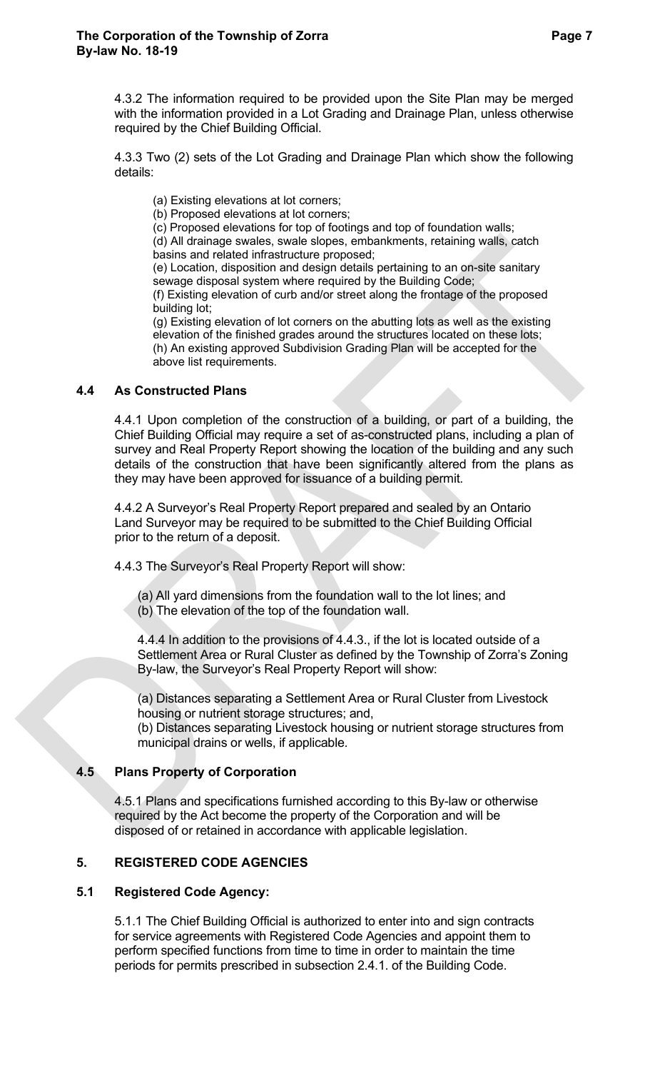4.3.2 The information required to be provided upon the Site Plan may be merged with the information provided in a Lot Grading and Drainage Plan, unless otherwise required by the Chief Building Official.

4.3.3 Two (2) sets of the Lot Grading and Drainage Plan which show the following details:

(a) Existing elevations at lot corners;

(b) Proposed elevations at lot corners;

(c) Proposed elevations for top of footings and top of foundation walls;

(d) All drainage swales, swale slopes, embankments, retaining walls, catch basins and related infrastructure proposed;

(e) Location, disposition and design details pertaining to an on-site sanitary sewage disposal system where required by the Building Code;

(f) Existing elevation of curb and/or street along the frontage of the proposed building lot;

(g) Existing elevation of lot corners on the abutting lots as well as the existing elevation of the finished grades around the structures located on these lots; (h) An existing approved Subdivision Grading Plan will be accepted for the above list requirements.

# **4.4 As Constructed Plans**

4.4.1 Upon completion of the construction of a building, or part of a building, the Chief Building Official may require a set of as-constructed plans, including a plan of survey and Real Property Report showing the location of the building and any such details of the construction that have been significantly altered from the plans as they may have been approved for issuance of a building permit.

4.4.2 A Surveyor's Real Property Report prepared and sealed by an Ontario Land Surveyor may be required to be submitted to the Chief Building Official prior to the return of a deposit.

4.4.3 The Surveyor's Real Property Report will show:

- (a) All yard dimensions from the foundation wall to the lot lines; and
- (b) The elevation of the top of the foundation wall.

4.4.4 In addition to the provisions of 4.4.3., if the lot is located outside of a Settlement Area or Rural Cluster as defined by the Township of Zorra's Zoning By-law, the Surveyor's Real Property Report will show:

(a) Distances separating a Settlement Area or Rural Cluster from Livestock housing or nutrient storage structures; and,

(b) Distances separating Livestock housing or nutrient storage structures from municipal drains or wells, if applicable.

# **4.5 Plans Property of Corporation**

4.5.1 Plans and specifications furnished according to this By-law or otherwise required by the Act become the property of the Corporation and will be disposed of or retained in accordance with applicable legislation.

# **5. REGISTERED CODE AGENCIES**

# **5.1 Registered Code Agency:**

5.1.1 The Chief Building Official is authorized to enter into and sign contracts for service agreements with Registered Code Agencies and appoint them to perform specified functions from time to time in order to maintain the time periods for permits prescribed in subsection 2.4.1. of the Building Code.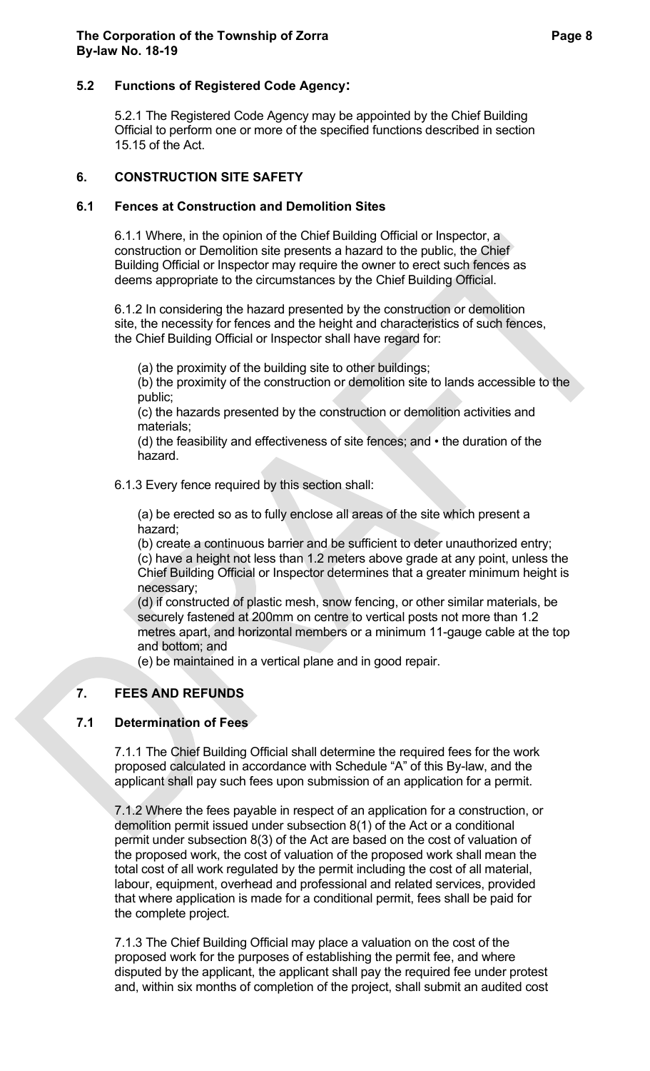## **5.2 Functions of Registered Code Agency:**

5.2.1 The Registered Code Agency may be appointed by the Chief Building Official to perform one or more of the specified functions described in section 15.15 of the Act.

## **6. CONSTRUCTION SITE SAFETY**

## **6.1 Fences at Construction and Demolition Sites**

6.1.1 Where, in the opinion of the Chief Building Official or Inspector, a construction or Demolition site presents a hazard to the public, the Chief Building Official or Inspector may require the owner to erect such fences as deems appropriate to the circumstances by the Chief Building Official.

6.1.2 In considering the hazard presented by the construction or demolition site, the necessity for fences and the height and characteristics of such fences, the Chief Building Official or Inspector shall have regard for:

(a) the proximity of the building site to other buildings;

(b) the proximity of the construction or demolition site to lands accessible to the public;

(c) the hazards presented by the construction or demolition activities and materials;

(d) the feasibility and effectiveness of site fences; and • the duration of the hazard.

## 6.1.3 Every fence required by this section shall:

(a) be erected so as to fully enclose all areas of the site which present a hazard;

(b) create a continuous barrier and be sufficient to deter unauthorized entry; (c) have a height not less than 1.2 meters above grade at any point, unless the Chief Building Official or Inspector determines that a greater minimum height is necessary;

(d) if constructed of plastic mesh, snow fencing, or other similar materials, be securely fastened at 200mm on centre to vertical posts not more than 1.2 metres apart, and horizontal members or a minimum 11-gauge cable at the top and bottom; and

(e) be maintained in a vertical plane and in good repair.

# **7. FEES AND REFUNDS**

# **7.1 Determination of Fees**

7.1.1 The Chief Building Official shall determine the required fees for the work proposed calculated in accordance with Schedule "A" of this By-law, and the applicant shall pay such fees upon submission of an application for a permit.

7.1.2 Where the fees payable in respect of an application for a construction, or demolition permit issued under subsection 8(1) of the Act or a conditional permit under subsection 8(3) of the Act are based on the cost of valuation of the proposed work, the cost of valuation of the proposed work shall mean the total cost of all work regulated by the permit including the cost of all material, labour, equipment, overhead and professional and related services, provided that where application is made for a conditional permit, fees shall be paid for the complete project.

7.1.3 The Chief Building Official may place a valuation on the cost of the proposed work for the purposes of establishing the permit fee, and where disputed by the applicant, the applicant shall pay the required fee under protest and, within six months of completion of the project, shall submit an audited cost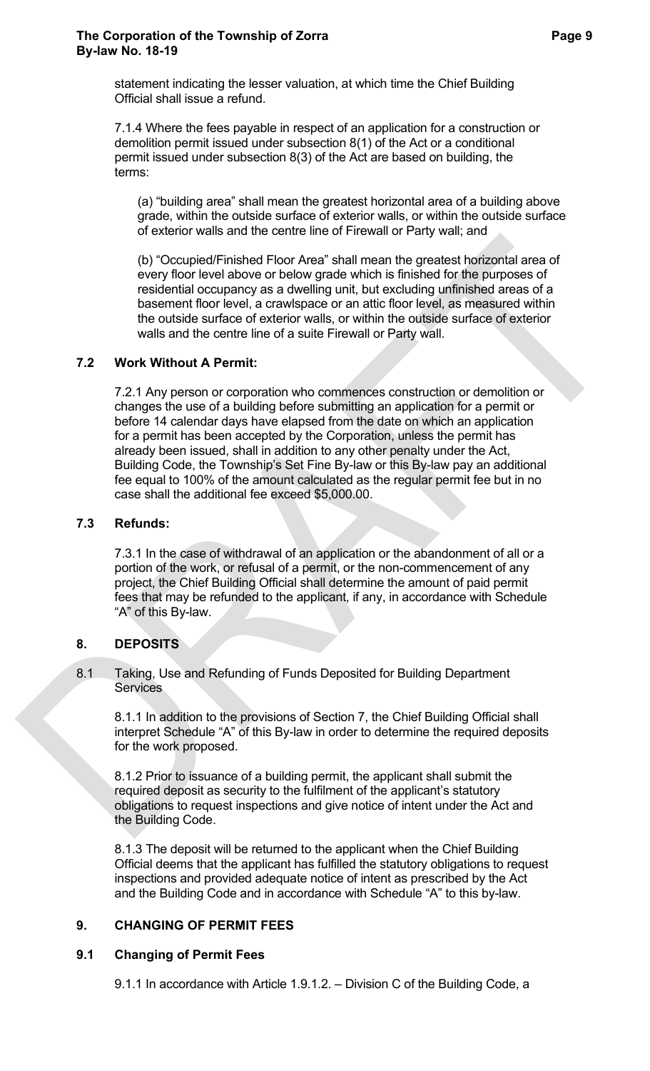statement indicating the lesser valuation, at which time the Chief Building Official shall issue a refund.

7.1.4 Where the fees payable in respect of an application for a construction or demolition permit issued under subsection 8(1) of the Act or a conditional permit issued under subsection 8(3) of the Act are based on building, the terms:

(a) "building area" shall mean the greatest horizontal area of a building above grade, within the outside surface of exterior walls, or within the outside surface of exterior walls and the centre line of Firewall or Party wall; and

(b) "Occupied/Finished Floor Area" shall mean the greatest horizontal area of every floor level above or below grade which is finished for the purposes of residential occupancy as a dwelling unit, but excluding unfinished areas of a basement floor level, a crawlspace or an attic floor level, as measured within the outside surface of exterior walls, or within the outside surface of exterior walls and the centre line of a suite Firewall or Party wall.

#### **7.2 Work Without A Permit:**

7.2.1 Any person or corporation who commences construction or demolition or changes the use of a building before submitting an application for a permit or before 14 calendar days have elapsed from the date on which an application for a permit has been accepted by the Corporation, unless the permit has already been issued, shall in addition to any other penalty under the Act, Building Code, the Township's Set Fine By-law or this By-law pay an additional fee equal to 100% of the amount calculated as the regular permit fee but in no case shall the additional fee exceed \$5,000.00.

#### **7.3 Refunds:**

7.3.1 In the case of withdrawal of an application or the abandonment of all or a portion of the work, or refusal of a permit, or the non-commencement of any project, the Chief Building Official shall determine the amount of paid permit fees that may be refunded to the applicant, if any, in accordance with Schedule "A" of this By-law.

## **8. DEPOSITS**

8.1 Taking, Use and Refunding of Funds Deposited for Building Department **Services** 

8.1.1 In addition to the provisions of Section 7, the Chief Building Official shall interpret Schedule "A" of this By-law in order to determine the required deposits for the work proposed.

8.1.2 Prior to issuance of a building permit, the applicant shall submit the required deposit as security to the fulfilment of the applicant's statutory obligations to request inspections and give notice of intent under the Act and the Building Code.

8.1.3 The deposit will be returned to the applicant when the Chief Building Official deems that the applicant has fulfilled the statutory obligations to request inspections and provided adequate notice of intent as prescribed by the Act and the Building Code and in accordance with Schedule "A" to this by-law.

## **9. CHANGING OF PERMIT FEES**

## **9.1 Changing of Permit Fees**

9.1.1 In accordance with Article 1.9.1.2. – Division C of the Building Code, a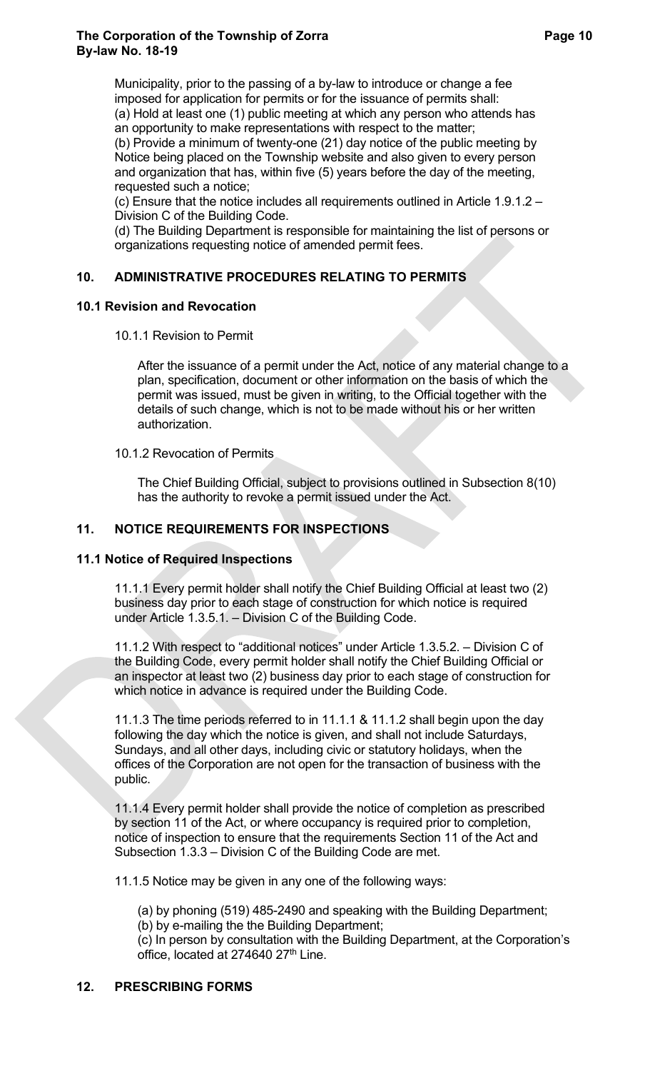Municipality, prior to the passing of a by-law to introduce or change a fee imposed for application for permits or for the issuance of permits shall: (a) Hold at least one (1) public meeting at which any person who attends has an opportunity to make representations with respect to the matter;

(b) Provide a minimum of twenty-one (21) day notice of the public meeting by Notice being placed on the Township website and also given to every person and organization that has, within five (5) years before the day of the meeting, requested such a notice;

(c) Ensure that the notice includes all requirements outlined in Article 1.9.1.2 – Division C of the Building Code.

(d) The Building Department is responsible for maintaining the list of persons or organizations requesting notice of amended permit fees.

## **10. ADMINISTRATIVE PROCEDURES RELATING TO PERMITS**

#### **10.1 Revision and Revocation**

10.1.1 Revision to Permit

After the issuance of a permit under the Act, notice of any material change to a plan, specification, document or other information on the basis of which the permit was issued, must be given in writing, to the Official together with the details of such change, which is not to be made without his or her written authorization.

## 10.1.2 Revocation of Permits

The Chief Building Official, subject to provisions outlined in Subsection 8(10) has the authority to revoke a permit issued under the Act.

## **11. NOTICE REQUIREMENTS FOR INSPECTIONS**

#### **11.1 Notice of Required Inspections**

11.1.1 Every permit holder shall notify the Chief Building Official at least two (2) business day prior to each stage of construction for which notice is required under Article 1.3.5.1. – Division C of the Building Code.

11.1.2 With respect to "additional notices" under Article 1.3.5.2. – Division C of the Building Code, every permit holder shall notify the Chief Building Official or an inspector at least two (2) business day prior to each stage of construction for which notice in advance is required under the Building Code.

11.1.3 The time periods referred to in 11.1.1 & 11.1.2 shall begin upon the day following the day which the notice is given, and shall not include Saturdays, Sundays, and all other days, including civic or statutory holidays, when the offices of the Corporation are not open for the transaction of business with the public.

11.1.4 Every permit holder shall provide the notice of completion as prescribed by section 11 of the Act, or where occupancy is required prior to completion, notice of inspection to ensure that the requirements Section 11 of the Act and Subsection 1.3.3 – Division C of the Building Code are met.

11.1.5 Notice may be given in any one of the following ways:

(a) by phoning (519) 485-2490 and speaking with the Building Department;

(b) by e-mailing the the Building Department;

(c) In person by consultation with the Building Department, at the Corporation's office, located at 274640 27<sup>th</sup> Line.

## **12. PRESCRIBING FORMS**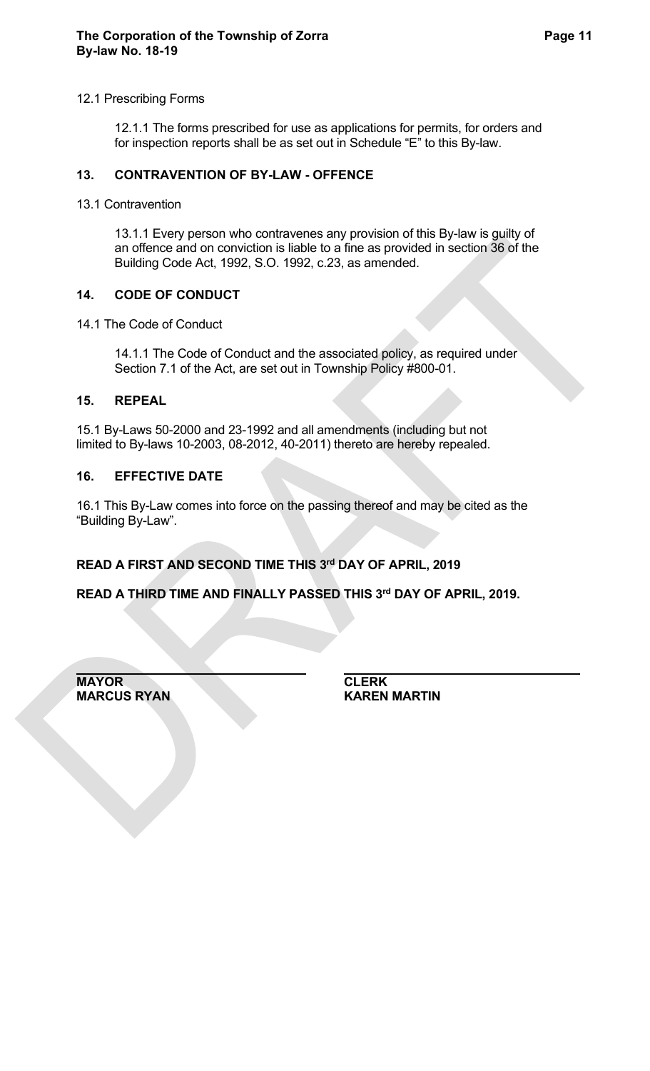#### 12.1 Prescribing Forms

12.1.1 The forms prescribed for use as applications for permits, for orders and for inspection reports shall be as set out in Schedule "E" to this By-law.

#### **13. CONTRAVENTION OF BY-LAW - OFFENCE**

13.1 Contravention

13.1.1 Every person who contravenes any provision of this By-law is guilty of an offence and on conviction is liable to a fine as provided in section 36 of the Building Code Act, 1992, S.O. 1992, c.23, as amended.

#### **14. CODE OF CONDUCT**

14.1 The Code of Conduct

 14.1.1 The Code of Conduct and the associated policy, as required under Section 7.1 of the Act, are set out in Township Policy #800-01.

#### **15. REPEAL**

15.1 By-Laws 50-2000 and 23-1992 and all amendments (including but not limited to By-laws 10-2003, 08-2012, 40-2011) thereto are hereby repealed.

#### **16. EFFECTIVE DATE**

16.1 This By-Law comes into force on the passing thereof and may be cited as the "Building By-Law".

## **READ A FIRST AND SECOND TIME THIS 3rd DAY OF APRIL, 2019**

**READ A THIRD TIME AND FINALLY PASSED THIS 3rd DAY OF APRIL, 2019.** 

 **MAYOR** CLERK CLERK CLERK **MARCUS RYAN** 

**KAREN MARTIN**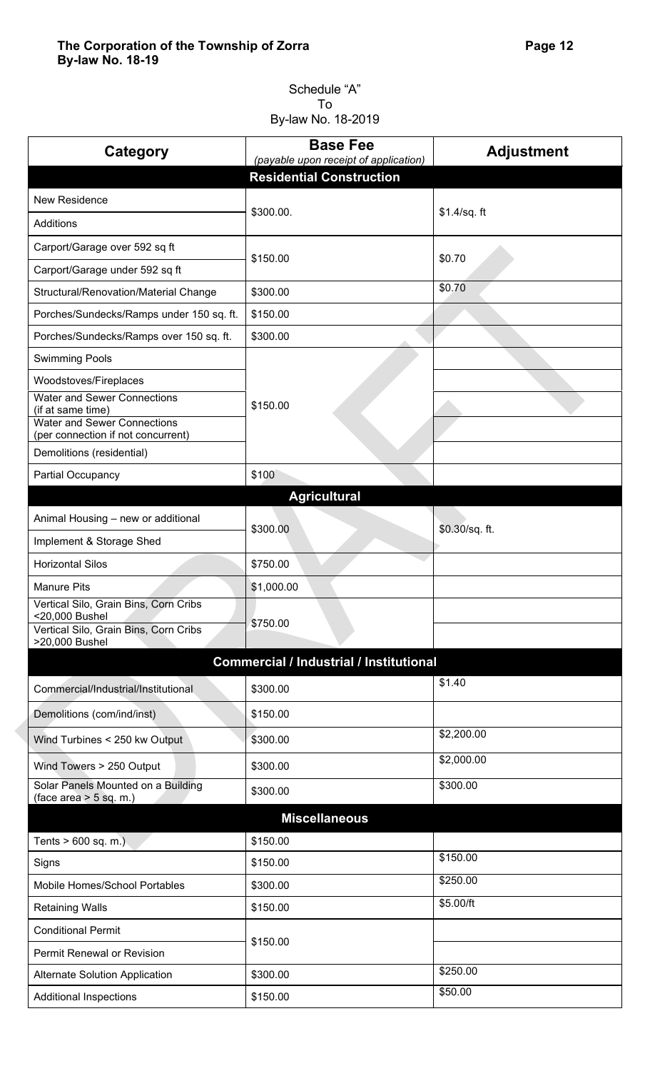#### **The Corporation of the Township of Zorra Page 12 By-law No. 18-19**

# Schedule "A" To By-law No. 18-2019

| <b>Category</b> |                                                                          | <b>Base Fee</b><br>(payable upon receipt of application) | <b>Adjustment</b> |  |  |  |
|-----------------|--------------------------------------------------------------------------|----------------------------------------------------------|-------------------|--|--|--|
|                 | <b>Residential Construction</b>                                          |                                                          |                   |  |  |  |
|                 | <b>New Residence</b>                                                     |                                                          |                   |  |  |  |
|                 | Additions                                                                | \$300.00.                                                | \$1.4/sq. ft      |  |  |  |
|                 | Carport/Garage over 592 sq ft                                            |                                                          |                   |  |  |  |
|                 | Carport/Garage under 592 sq ft                                           | \$150.00                                                 | \$0.70            |  |  |  |
|                 | Structural/Renovation/Material Change                                    | \$300.00                                                 | \$0.70            |  |  |  |
|                 | Porches/Sundecks/Ramps under 150 sq. ft.                                 | \$150.00                                                 |                   |  |  |  |
|                 | Porches/Sundecks/Ramps over 150 sq. ft.                                  | \$300.00                                                 |                   |  |  |  |
|                 | <b>Swimming Pools</b>                                                    |                                                          |                   |  |  |  |
|                 | Woodstoves/Fireplaces                                                    |                                                          |                   |  |  |  |
|                 | <b>Water and Sewer Connections</b><br>(if at same time)                  | \$150.00                                                 |                   |  |  |  |
|                 | <b>Water and Sewer Connections</b><br>(per connection if not concurrent) |                                                          |                   |  |  |  |
|                 | Demolitions (residential)                                                |                                                          |                   |  |  |  |
|                 | Partial Occupancy                                                        | \$100                                                    |                   |  |  |  |
|                 |                                                                          | <b>Agricultural</b>                                      |                   |  |  |  |
|                 | Animal Housing - new or additional                                       |                                                          |                   |  |  |  |
|                 | Implement & Storage Shed                                                 | \$300.00                                                 | \$0.30/sq. ft.    |  |  |  |
|                 | <b>Horizontal Silos</b>                                                  | \$750.00                                                 |                   |  |  |  |
|                 | <b>Manure Pits</b>                                                       | \$1,000.00                                               |                   |  |  |  |
|                 | Vertical Silo, Grain Bins, Corn Cribs<br><20,000 Bushel                  |                                                          |                   |  |  |  |
|                 | Vertical Silo, Grain Bins, Corn Cribs<br>>20,000 Bushel                  | \$750.00                                                 |                   |  |  |  |
|                 | <b>Commercial / Industrial / Institutional</b>                           |                                                          |                   |  |  |  |
|                 | Commercial/Industrial/Institutional                                      | \$300.00                                                 | \$1.40            |  |  |  |
|                 | Demolitions (com/ind/inst)                                               | \$150.00                                                 |                   |  |  |  |
|                 | Wind Turbines < 250 kw Output                                            | \$300.00                                                 | \$2,200.00        |  |  |  |
|                 |                                                                          |                                                          | \$2,000.00        |  |  |  |
|                 | Wind Towers > 250 Output<br>Solar Panels Mounted on a Building           | \$300.00                                                 | \$300.00          |  |  |  |
|                 | (face area $>$ 5 sq. m.)                                                 | \$300.00                                                 |                   |  |  |  |
|                 |                                                                          | <b>Miscellaneous</b>                                     |                   |  |  |  |
|                 | Tents $> 600$ sq. m.)                                                    | \$150.00                                                 |                   |  |  |  |
|                 | Signs                                                                    | \$150.00                                                 | \$150.00          |  |  |  |
|                 | Mobile Homes/School Portables                                            | \$300.00                                                 | \$250.00          |  |  |  |
|                 | <b>Retaining Walls</b>                                                   | \$150.00                                                 | \$5.00/ft         |  |  |  |
|                 | <b>Conditional Permit</b>                                                | \$150.00                                                 |                   |  |  |  |
|                 | Permit Renewal or Revision                                               |                                                          |                   |  |  |  |
|                 | Alternate Solution Application                                           | \$300.00                                                 | \$250.00          |  |  |  |
|                 | <b>Additional Inspections</b>                                            | \$150.00                                                 | \$50.00           |  |  |  |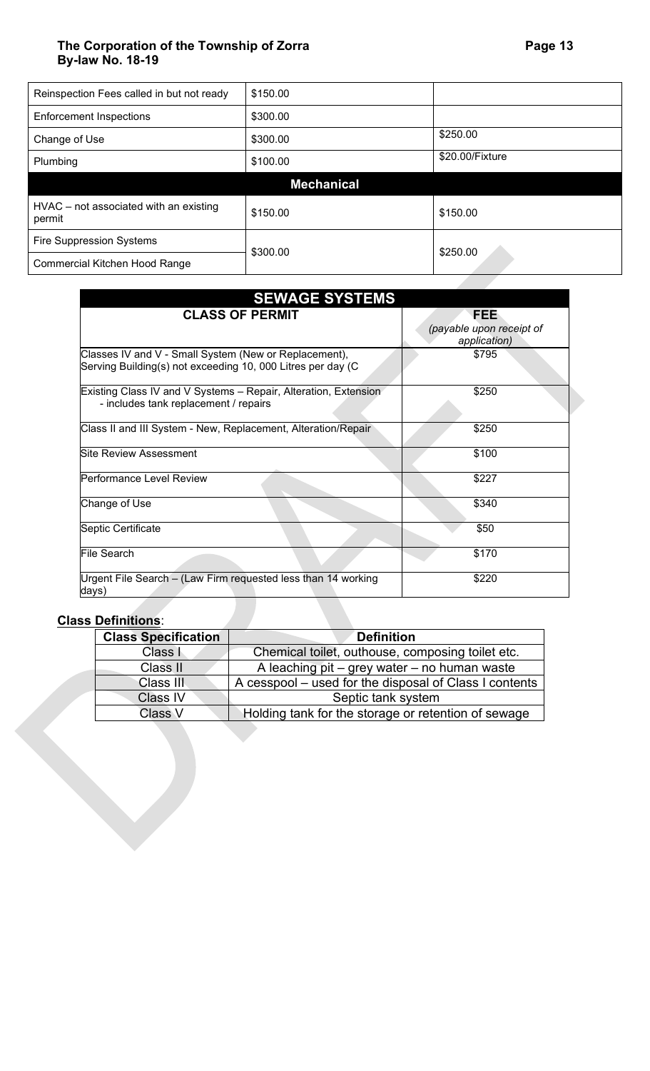## **The Corporation of the Township of Zorra Page 13 By-law No. 18-19**

| Reinspection Fees called in but not ready        | \$150.00 |                 |  |  |  |
|--------------------------------------------------|----------|-----------------|--|--|--|
| <b>Enforcement Inspections</b>                   | \$300.00 |                 |  |  |  |
| Change of Use                                    | \$300.00 | \$250.00        |  |  |  |
| Plumbing                                         | \$100.00 | \$20.00/Fixture |  |  |  |
| <b>Mechanical</b>                                |          |                 |  |  |  |
| HVAC – not associated with an existing<br>permit | \$150.00 | \$150.00        |  |  |  |
| <b>Fire Suppression Systems</b>                  |          | \$250.00        |  |  |  |
| Commercial Kitchen Hood Range                    | \$300.00 |                 |  |  |  |

| <b>SEWAGE SYSTEMS</b>                                                                                                |                                                  |  |  |
|----------------------------------------------------------------------------------------------------------------------|--------------------------------------------------|--|--|
| <b>CLASS OF PERMIT</b>                                                                                               | FEE-<br>(payable upon receipt of<br>application) |  |  |
| Classes IV and V - Small System (New or Replacement),<br>Serving Building(s) not exceeding 10, 000 Litres per day (C | \$795                                            |  |  |
| Existing Class IV and V Systems - Repair, Alteration, Extension<br>- includes tank replacement / repairs             | \$250                                            |  |  |
| Class II and III System - New, Replacement, Alteration/Repair                                                        | \$250                                            |  |  |
| Site Review Assessment                                                                                               | \$100                                            |  |  |
| <b>IPerformance Level Review</b>                                                                                     | \$227                                            |  |  |
| Change of Use                                                                                                        | \$340                                            |  |  |
| Septic Certificate                                                                                                   | \$50                                             |  |  |
| File Search                                                                                                          | \$170                                            |  |  |
| Urgent File Search - (Law Firm requested less than 14 working<br>days)                                               | \$220                                            |  |  |

# **Class Definitions**:

| <b>Class Specification</b> | <b>Definition</b>                                      |  |  |
|----------------------------|--------------------------------------------------------|--|--|
| Class I                    | Chemical toilet, outhouse, composing toilet etc.       |  |  |
| Class II                   | A leaching pit – grey water – no human waste           |  |  |
| <b>Class III</b>           | A cesspool – used for the disposal of Class I contents |  |  |
| <b>Class IV</b>            | Septic tank system                                     |  |  |
| <b>Class V</b>             | Holding tank for the storage or retention of sewage    |  |  |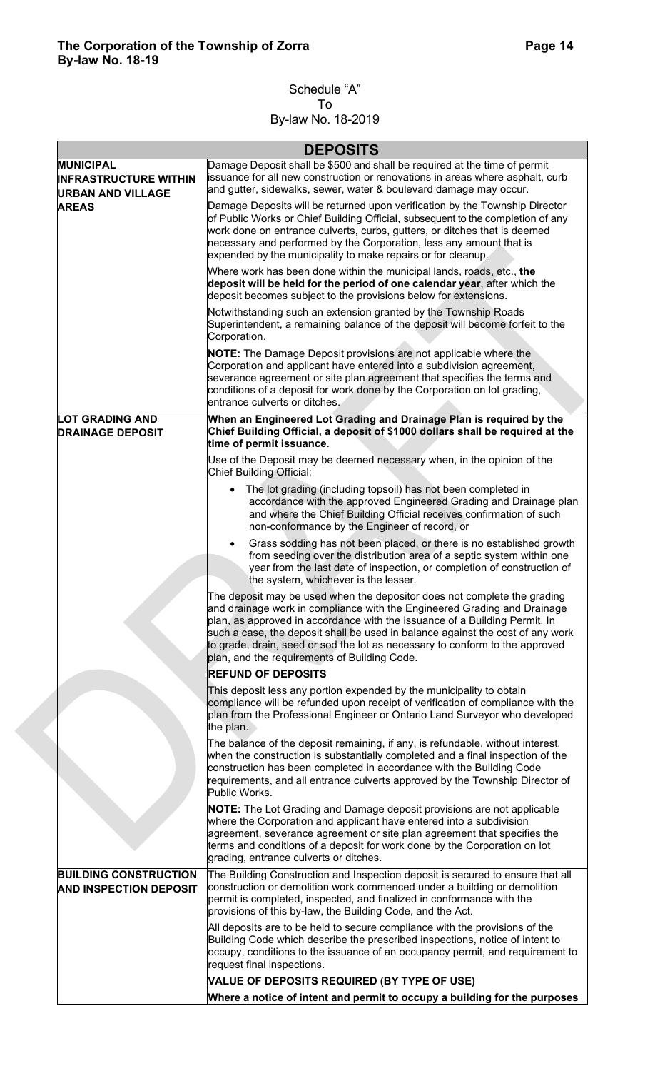Г

٦

# Schedule "A" To By-law No. 18-2019

# **DEPOSITS**

|                                                                              | <b>DEPUSIIS</b>                                                                                                                                                                                                                                                                                                                                                                                                                                      |  |  |
|------------------------------------------------------------------------------|------------------------------------------------------------------------------------------------------------------------------------------------------------------------------------------------------------------------------------------------------------------------------------------------------------------------------------------------------------------------------------------------------------------------------------------------------|--|--|
| <b>MUNICIPAL</b><br><b>INFRASTRUCTURE WITHIN</b><br><b>URBAN AND VILLAGE</b> | Damage Deposit shall be \$500 and shall be required at the time of permit<br>issuance for all new construction or renovations in areas where asphalt, curb<br>and gutter, sidewalks, sewer, water & boulevard damage may occur.                                                                                                                                                                                                                      |  |  |
| <b>AREAS</b>                                                                 | Damage Deposits will be returned upon verification by the Township Director<br>of Public Works or Chief Building Official, subsequent to the completion of any<br>work done on entrance culverts, curbs, gutters, or ditches that is deemed<br>necessary and performed by the Corporation, less any amount that is<br>expended by the municipality to make repairs or for cleanup.                                                                   |  |  |
|                                                                              | Where work has been done within the municipal lands, roads, etc., the<br>deposit will be held for the period of one calendar year, after which the<br>deposit becomes subject to the provisions below for extensions.                                                                                                                                                                                                                                |  |  |
|                                                                              | Notwithstanding such an extension granted by the Township Roads<br>Superintendent, a remaining balance of the deposit will become forfeit to the<br>Corporation.                                                                                                                                                                                                                                                                                     |  |  |
|                                                                              | <b>NOTE:</b> The Damage Deposit provisions are not applicable where the<br>Corporation and applicant have entered into a subdivision agreement,<br>severance agreement or site plan agreement that specifies the terms and<br>conditions of a deposit for work done by the Corporation on lot grading,<br>entrance culverts or ditches                                                                                                               |  |  |
| <b>LOT GRADING AND</b><br><b>DRAINAGE DEPOSIT</b>                            | When an Engineered Lot Grading and Drainage Plan is required by the<br>Chief Building Official, a deposit of \$1000 dollars shall be required at the<br>time of permit issuance.                                                                                                                                                                                                                                                                     |  |  |
|                                                                              | Use of the Deposit may be deemed necessary when, in the opinion of the<br>Chief Building Official;                                                                                                                                                                                                                                                                                                                                                   |  |  |
|                                                                              | The lot grading (including topsoil) has not been completed in<br>$\bullet$<br>accordance with the approved Engineered Grading and Drainage plan<br>and where the Chief Building Official receives confirmation of such<br>non-conformance by the Engineer of record, or                                                                                                                                                                              |  |  |
|                                                                              | Grass sodding has not been placed, or there is no established growth<br>from seeding over the distribution area of a septic system within one<br>year from the last date of inspection, or completion of construction of<br>the system, whichever is the lesser.                                                                                                                                                                                     |  |  |
|                                                                              | The deposit may be used when the depositor does not complete the grading<br>and drainage work in compliance with the Engineered Grading and Drainage<br>plan, as approved in accordance with the issuance of a Building Permit. In<br>such a case, the deposit shall be used in balance against the cost of any work<br>to grade, drain, seed or sod the lot as necessary to conform to the approved<br>plan, and the requirements of Building Code. |  |  |
|                                                                              | <b>REFUND OF DEPOSITS</b>                                                                                                                                                                                                                                                                                                                                                                                                                            |  |  |
|                                                                              | This deposit less any portion expended by the municipality to obtain<br>compliance will be refunded upon receipt of verification of compliance with the<br>plan from the Professional Engineer or Ontario Land Surveyor who developed<br>the plan.                                                                                                                                                                                                   |  |  |
|                                                                              | The balance of the deposit remaining, if any, is refundable, without interest,<br>when the construction is substantially completed and a final inspection of the<br>construction has been completed in accordance with the Building Code<br>requirements, and all entrance culverts approved by the Township Director of<br>Public Works.                                                                                                            |  |  |
|                                                                              | <b>NOTE:</b> The Lot Grading and Damage deposit provisions are not applicable<br>where the Corporation and applicant have entered into a subdivision<br>agreement, severance agreement or site plan agreement that specifies the<br>terms and conditions of a deposit for work done by the Corporation on lot<br>grading, entrance culverts or ditches.                                                                                              |  |  |
| <b>BUILDING CONSTRUCTION</b><br><b>AND INSPECTION DEPOSIT</b>                | The Building Construction and Inspection deposit is secured to ensure that all<br>construction or demolition work commenced under a building or demolition<br>permit is completed, inspected, and finalized in conformance with the<br>provisions of this by-law, the Building Code, and the Act.                                                                                                                                                    |  |  |
|                                                                              | All deposits are to be held to secure compliance with the provisions of the<br>Building Code which describe the prescribed inspections, notice of intent to<br>occupy, conditions to the issuance of an occupancy permit, and requirement to<br>request final inspections.                                                                                                                                                                           |  |  |
|                                                                              | <b>VALUE OF DEPOSITS REQUIRED (BY TYPE OF USE)</b>                                                                                                                                                                                                                                                                                                                                                                                                   |  |  |
|                                                                              | Where a notice of intent and permit to occupy a building for the purposes                                                                                                                                                                                                                                                                                                                                                                            |  |  |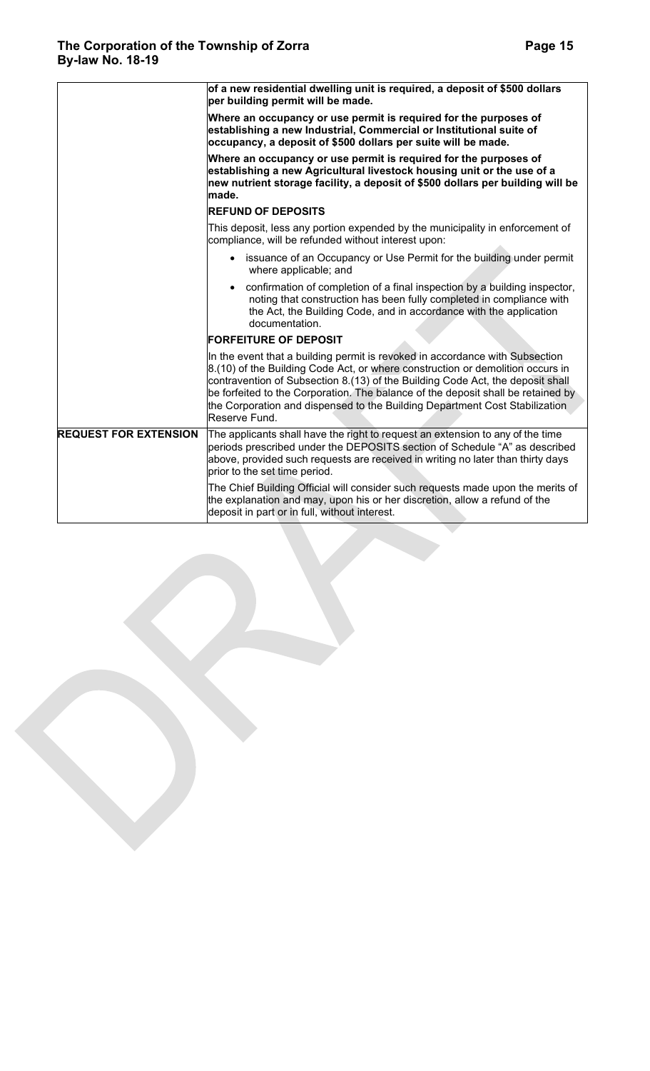|                              | of a new residential dwelling unit is required, a deposit of \$500 dollars<br>per building permit will be made.                                                                                                                                                                                                                                                                                                                      |  |  |
|------------------------------|--------------------------------------------------------------------------------------------------------------------------------------------------------------------------------------------------------------------------------------------------------------------------------------------------------------------------------------------------------------------------------------------------------------------------------------|--|--|
|                              | Where an occupancy or use permit is required for the purposes of<br>establishing a new Industrial, Commercial or Institutional suite of<br>occupancy, a deposit of \$500 dollars per suite will be made.                                                                                                                                                                                                                             |  |  |
|                              | Where an occupancy or use permit is required for the purposes of<br>establishing a new Agricultural livestock housing unit or the use of a<br>new nutrient storage facility, a deposit of \$500 dollars per building will be<br>made.                                                                                                                                                                                                |  |  |
|                              | <b>REFUND OF DEPOSITS</b>                                                                                                                                                                                                                                                                                                                                                                                                            |  |  |
|                              | This deposit, less any portion expended by the municipality in enforcement of<br>compliance, will be refunded without interest upon:                                                                                                                                                                                                                                                                                                 |  |  |
|                              | • issuance of an Occupancy or Use Permit for the building under permit<br>where applicable; and                                                                                                                                                                                                                                                                                                                                      |  |  |
|                              | confirmation of completion of a final inspection by a building inspector,<br>noting that construction has been fully completed in compliance with<br>the Act, the Building Code, and in accordance with the application<br>documentation.                                                                                                                                                                                            |  |  |
|                              | <b>FORFEITURE OF DEPOSIT</b>                                                                                                                                                                                                                                                                                                                                                                                                         |  |  |
|                              | In the event that a building permit is revoked in accordance with Subsection<br>8.(10) of the Building Code Act, or where construction or demolition occurs in<br>contravention of Subsection 8.(13) of the Building Code Act, the deposit shall<br>be forfeited to the Corporation. The balance of the deposit shall be retained by<br>the Corporation and dispensed to the Building Department Cost Stabilization<br>Reserve Fund. |  |  |
| <b>REQUEST FOR EXTENSION</b> | The applicants shall have the right to request an extension to any of the time<br>periods prescribed under the DEPOSITS section of Schedule "A" as described<br>above, provided such requests are received in writing no later than thirty days<br>prior to the set time period.                                                                                                                                                     |  |  |
|                              | The Chief Building Official will consider such requests made upon the merits of<br>the explanation and may, upon his or her discretion, allow a refund of the<br>deposit in part or in full, without interest.                                                                                                                                                                                                                       |  |  |
|                              |                                                                                                                                                                                                                                                                                                                                                                                                                                      |  |  |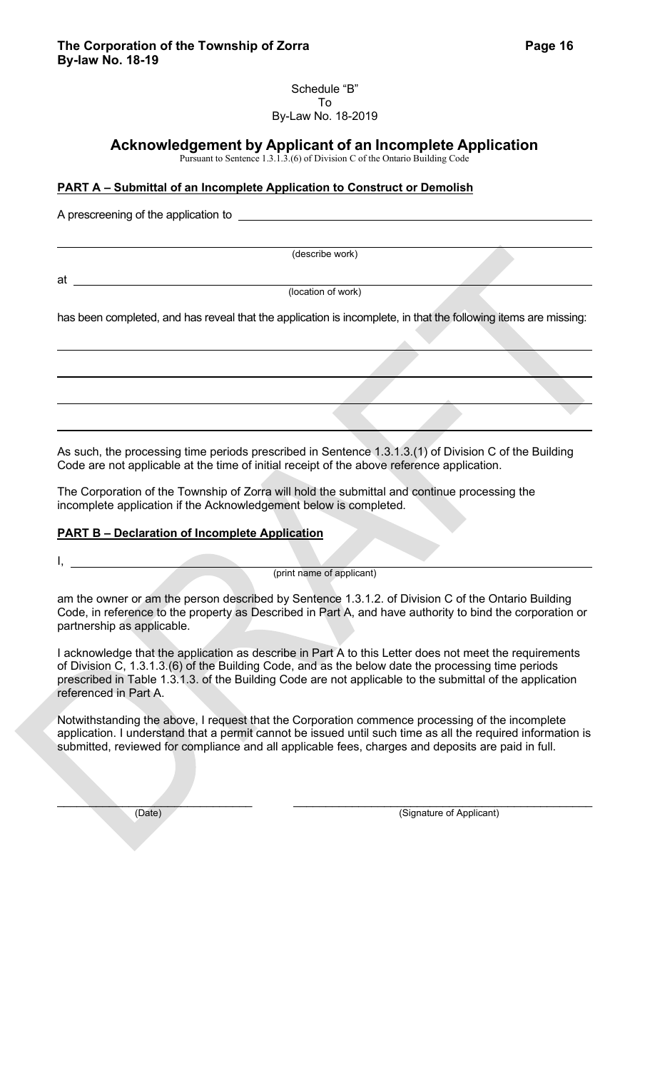#### Schedule "B" To By-Law No. 18-2019

# **Acknowledgement by Applicant of an Incomplete Application**

Pursuant to Sentence 1.3.1.3.(6) of Division C of the Ontario Building Code

## **PART A – Submittal of an Incomplete Application to Construct or Demolish**

A prescreening of the application to \_

(describe work)

at

(location of work)

has been completed, and has reveal that the application is incomplete, in that the following items are missing:

As such, the processing time periods prescribed in Sentence 1.3.1.3.(1) of Division C of the Building Code are not applicable at the time of initial receipt of the above reference application.

The Corporation of the Township of Zorra will hold the submittal and continue processing the incomplete application if the Acknowledgement below is completed.

#### **PART B – Declaration of Incomplete Application**

I, <u>example a print name of applicant</u>

am the owner or am the person described by Sentence 1.3.1.2. of Division C of the Ontario Building Code, in reference to the property as Described in Part A, and have authority to bind the corporation or partnership as applicable.

I acknowledge that the application as describe in Part A to this Letter does not meet the requirements of Division C, 1.3.1.3.(6) of the Building Code, and as the below date the processing time periods prescribed in Table 1.3.1.3. of the Building Code are not applicable to the submittal of the application referenced in Part A.

Notwithstanding the above, I request that the Corporation commence processing of the incomplete application. I understand that a permit cannot be issued until such time as all the required information is submitted, reviewed for compliance and all applicable fees, charges and deposits are paid in full.

 $\mathcal{L}=\mathcal{L}=\mathcal{L}=\mathcal{L}=\mathcal{L}=\mathcal{L}=\mathcal{L}=\mathcal{L}=\mathcal{L}=\mathcal{L}=\mathcal{L}=\mathcal{L}=\mathcal{L}=\mathcal{L}=\mathcal{L}=\mathcal{L}=\mathcal{L}=\mathcal{L}=\mathcal{L}=\mathcal{L}=\mathcal{L}=\mathcal{L}=\mathcal{L}=\mathcal{L}=\mathcal{L}=\mathcal{L}=\mathcal{L}=\mathcal{L}=\mathcal{L}=\mathcal{L}=\mathcal{L}=\mathcal{L}=\mathcal{L}=\mathcal{L}=\mathcal{L}=\mathcal{L}=\mathcal{$ (Date) (Signature of Applicant)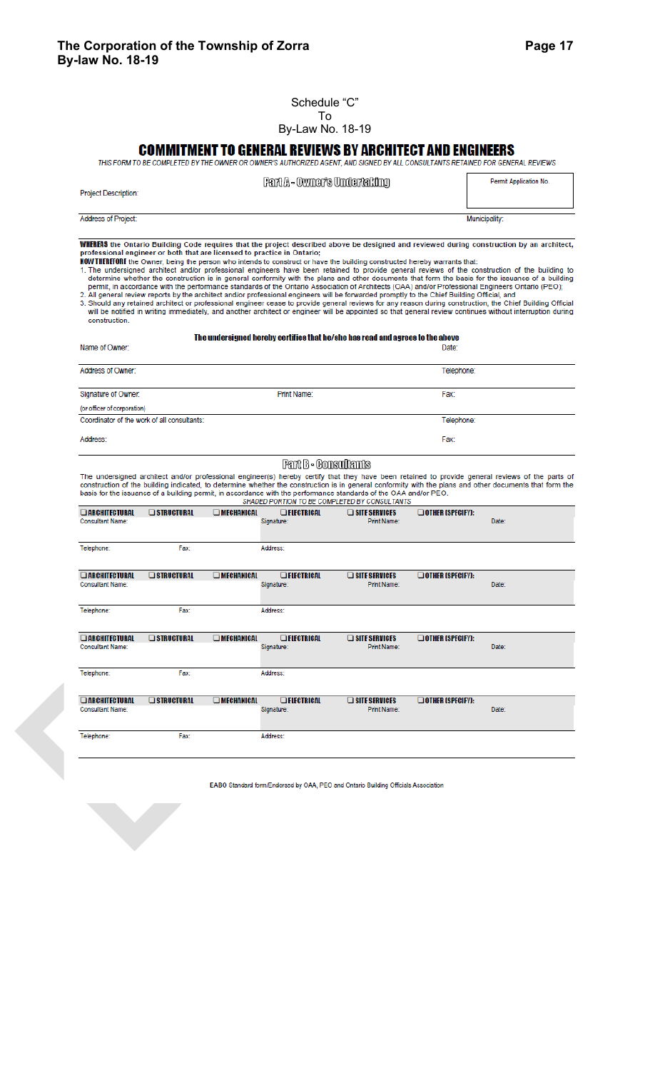Project Description:

Address of Project:

Name of Owner:

Date:

Permit Application No.

# Schedule "C" To

By-Law No. 18-19

## **COMMITMENT TO GENERAL REVIEWS BY ARCHITECT AND ENGINEERS**

THIS FORM TO BE COMPLETED BY THE OWNER OR OWNER'S AUTHORIZED AGENT, AND SIGNED BY ALL CONSULTANTS RETAINED FOR GENERAL REVIEWS

| Part A - Owner's Undertaking | Perm          |
|------------------------------|---------------|
|                              | Municipality: |

WHEREAS the Ontario Building Code requires that the project described above be designed and reviewed during construction by an architect,<br>professional engineer or both that are licensed to practice in Ontario;<br>NOW THEREFOR

2. All general review reports by the architect and/or professional engineers will be forwarded promptly to the Chief Building Official, and<br>3. Should any retained architect or professional engineer cease to provide general

construction.

The undersigned hereby certifies that he/she has read and agrees to the above

| Address of Owner:           |                                             |                      |                          |                                                                                                                                                                   | Telephone:              |                                                                                                                                                                                                                                                                                                             |
|-----------------------------|---------------------------------------------|----------------------|--------------------------|-------------------------------------------------------------------------------------------------------------------------------------------------------------------|-------------------------|-------------------------------------------------------------------------------------------------------------------------------------------------------------------------------------------------------------------------------------------------------------------------------------------------------------|
| Signature of Owner:         |                                             |                      | Print Name:              |                                                                                                                                                                   | Fax:                    |                                                                                                                                                                                                                                                                                                             |
| (or officer of corporation) |                                             |                      |                          |                                                                                                                                                                   |                         |                                                                                                                                                                                                                                                                                                             |
|                             | Coordinator of the work of all consultants: |                      |                          |                                                                                                                                                                   | Telephone:              |                                                                                                                                                                                                                                                                                                             |
| Address:                    |                                             |                      |                          |                                                                                                                                                                   | Fax:                    |                                                                                                                                                                                                                                                                                                             |
|                             |                                             |                      |                          | Part B - Consultants                                                                                                                                              |                         |                                                                                                                                                                                                                                                                                                             |
|                             |                                             |                      |                          | basis for the issuance of a building permit, in accordance with the performance standards of the OAA and/or PEO.<br>SHADED PORTION TO BE COMPLETED BY CONSULTANTS |                         | The undersigned architect and/or professional engineer(s) hereby certify that they have been retained to provide general reviews of the parts of<br>construction of the building indicated, to determine whether the construction is in general conformity with the plans and other documents that form the |
| $\Box$ ARCHITECTURAL        | $\Box$ STRUCTURAL                           | $\square$ MECHANICAL | $\Box$ <b>ELECTRICAL</b> | $\square$ SITE SERVICES                                                                                                                                           | $\Box$ OTHER ISPECIEVI: |                                                                                                                                                                                                                                                                                                             |
| <b>Consultant Name:</b>     |                                             |                      | Signature:               | Print Name:                                                                                                                                                       |                         | Date:                                                                                                                                                                                                                                                                                                       |
|                             |                                             |                      |                          |                                                                                                                                                                   |                         |                                                                                                                                                                                                                                                                                                             |
| Telephone:                  | Fax:                                        |                      | Address:                 |                                                                                                                                                                   |                         |                                                                                                                                                                                                                                                                                                             |
| $\Box$ ARCHITECTURAL        | $\Box$ STRUCTURAL                           | $\Box$ MECHANICAL    | $\Box$ FIFCTRICAL        | $\square$ SITE SERVICES                                                                                                                                           | $\Box$ OTHER ISPECIEVI: |                                                                                                                                                                                                                                                                                                             |
| <b>Consultant Name:</b>     |                                             |                      | Signature:               | Print Name:                                                                                                                                                       |                         | Date:                                                                                                                                                                                                                                                                                                       |
| Telephone:                  | Fax:                                        |                      | Address:                 |                                                                                                                                                                   |                         |                                                                                                                                                                                                                                                                                                             |
|                             |                                             |                      |                          |                                                                                                                                                                   |                         |                                                                                                                                                                                                                                                                                                             |
| $\Box$ ARCHITECTURAL        | <b>STRUCTURAL</b>                           | $\square$ MECHANICAL | $\Box$ ELECTRICAL        | $\square$ SITE SERVICES                                                                                                                                           | $\Box$ OTHER ISPECIEVI: |                                                                                                                                                                                                                                                                                                             |
| <b>Consultant Name:</b>     |                                             |                      | Signature:               | Print Name:                                                                                                                                                       |                         | Date:                                                                                                                                                                                                                                                                                                       |
| Telephone:                  | Fax:                                        |                      | Address:                 |                                                                                                                                                                   |                         |                                                                                                                                                                                                                                                                                                             |
|                             |                                             |                      |                          |                                                                                                                                                                   |                         |                                                                                                                                                                                                                                                                                                             |
| $\Box$ ARCHITECTURAL        | $\Box$ STRUCTURAL                           | $\square$ MFCHANICAL | $\Box$ FLFCTRICAL        | $\square$ SITE SERVICES                                                                                                                                           | $\Box$ OTHER (SPECIFY): |                                                                                                                                                                                                                                                                                                             |
| <b>Consultant Name:</b>     |                                             |                      | Signature:               | Print Name:                                                                                                                                                       |                         | Date:                                                                                                                                                                                                                                                                                                       |
| Telephone:                  | Fax:                                        |                      | Address:                 |                                                                                                                                                                   |                         |                                                                                                                                                                                                                                                                                                             |

EABO Standard form/Endorsed by OAA, PEO and Ontario Building Officials Association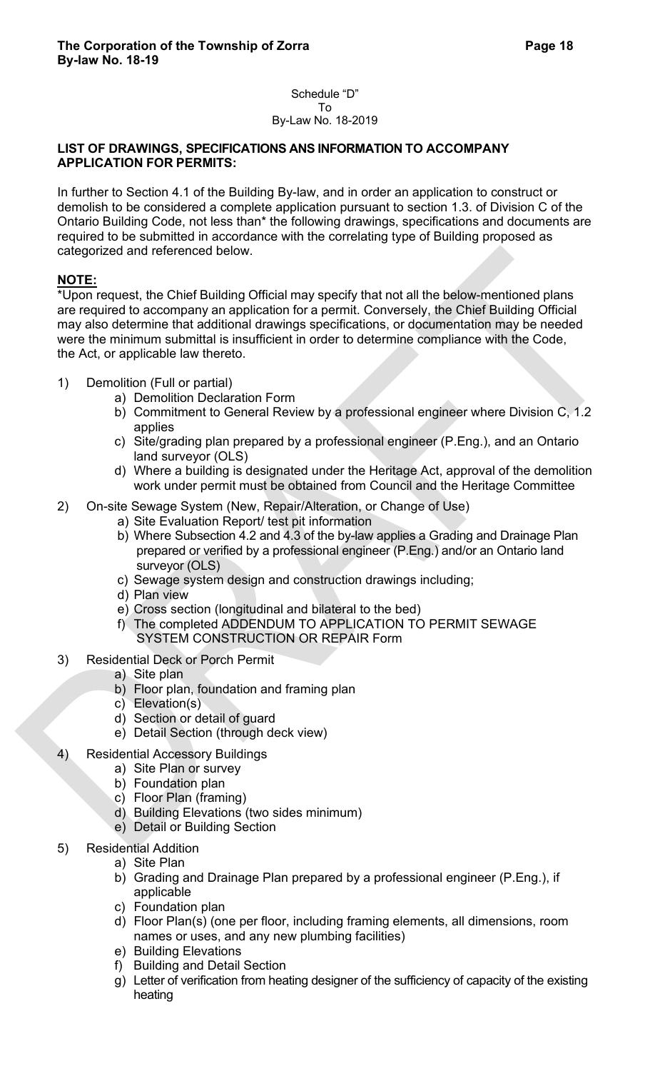#### Schedule "D" To By-Law No. 18-2019

#### **LIST OF DRAWINGS, SPECIFICATIONS ANS INFORMATION TO ACCOMPANY APPLICATION FOR PERMITS:**

In further to Section 4.1 of the Building By-law, and in order an application to construct or demolish to be considered a complete application pursuant to section 1.3. of Division C of the Ontario Building Code, not less than\* the following drawings, specifications and documents are required to be submitted in accordance with the correlating type of Building proposed as categorized and referenced below.

# **NOTE:**

\*Upon request, the Chief Building Official may specify that not all the below-mentioned plans are required to accompany an application for a permit. Conversely, the Chief Building Official may also determine that additional drawings specifications, or documentation may be needed were the minimum submittal is insufficient in order to determine compliance with the Code, the Act, or applicable law thereto.

- 1) Demolition (Full or partial)
	- a) Demolition Declaration Form
	- b) Commitment to General Review by a professional engineer where Division C, 1.2 applies
	- c) Site/grading plan prepared by a professional engineer (P.Eng.), and an Ontario land surveyor (OLS)
	- d) Where a building is designated under the Heritage Act, approval of the demolition work under permit must be obtained from Council and the Heritage Committee
- 2) On-site Sewage System (New, Repair/Alteration, or Change of Use)
	- a) Site Evaluation Report/ test pit information
	- b) Where Subsection 4.2 and 4.3 of the by-law applies a Grading and Drainage Plan prepared or verified by a professional engineer (P.Eng.) and/or an Ontario land surveyor (OLS)
	- c) Sewage system design and construction drawings including;
	- d) Plan view
	- e) Cross section (longitudinal and bilateral to the bed)
	- f) The completed ADDENDUM TO APPLICATION TO PERMIT SEWAGE SYSTEM CONSTRUCTION OR REPAIR Form
- 3) Residential Deck or Porch Permit
	- a) Site plan
	- b) Floor plan, foundation and framing plan
	- c) Elevation(s)
	- d) Section or detail of guard
	- e) Detail Section (through deck view)
- 4) Residential Accessory Buildings
	- a) Site Plan or survey
		- b) Foundation plan
		- c) Floor Plan (framing)
		- d) Building Elevations (two sides minimum)
		- e) Detail or Building Section
- 5) Residential Addition
	- a) Site Plan
		- b) Grading and Drainage Plan prepared by a professional engineer (P.Eng.), if applicable
		- c) Foundation plan
		- d) Floor Plan(s) (one per floor, including framing elements, all dimensions, room names or uses, and any new plumbing facilities)
		- e) Building Elevations
		- f) Building and Detail Section
		- g) Letter of verification from heating designer of the sufficiency of capacity of the existing heating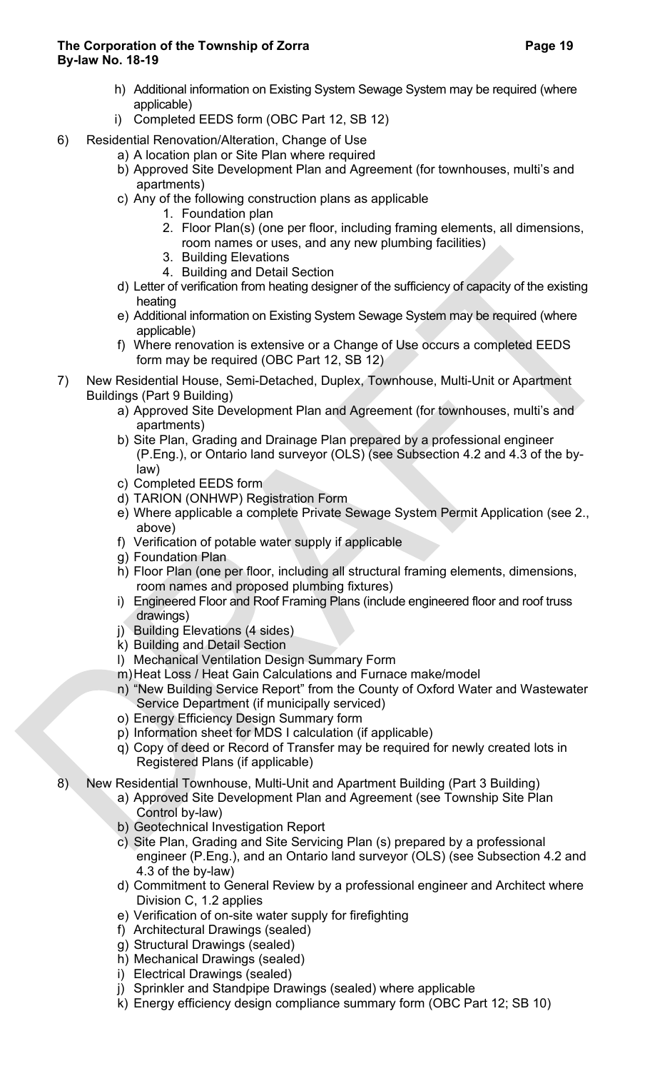- h) Additional information on Existing System Sewage System may be required (where applicable)
- i) Completed EEDS form (OBC Part 12, SB 12)
- 6) Residential Renovation/Alteration, Change of Use
	- a) A location plan or Site Plan where required
	- b) Approved Site Development Plan and Agreement (for townhouses, multi's and apartments)
	- c) Any of the following construction plans as applicable
		- 1. Foundation plan
			- 2. Floor Plan(s) (one per floor, including framing elements, all dimensions, room names or uses, and any new plumbing facilities)
		- 3. Building Elevations
		- 4. Building and Detail Section
	- d) Letter of verification from heating designer of the sufficiency of capacity of the existing heating
	- e) Additional information on Existing System Sewage System may be required (where applicable)
	- f) Where renovation is extensive or a Change of Use occurs a completed EEDS form may be required (OBC Part 12, SB 12)
- 7) New Residential House, Semi-Detached, Duplex, Townhouse, Multi-Unit or Apartment Buildings (Part 9 Building)
	- a) Approved Site Development Plan and Agreement (for townhouses, multi's and apartments)
	- b) Site Plan, Grading and Drainage Plan prepared by a professional engineer (P.Eng.), or Ontario land surveyor (OLS) (see Subsection 4.2 and 4.3 of the bylaw)
	- c) Completed EEDS form
	- d) TARION (ONHWP) Registration Form
	- e) Where applicable a complete Private Sewage System Permit Application (see 2., above)
	- f) Verification of potable water supply if applicable
	- g) Foundation Plan
	- h) Floor Plan (one per floor, including all structural framing elements, dimensions, room names and proposed plumbing fixtures)
	- i) Engineered Floor and Roof Framing Plans (include engineered floor and roof truss drawings)
	- j) Building Elevations (4 sides)
	- k) Building and Detail Section
	- l) Mechanical Ventilation Design Summary Form
	- m)Heat Loss / Heat Gain Calculations and Furnace make/model
	- n) "New Building Service Report" from the County of Oxford Water and Wastewater Service Department (if municipally serviced)
	- o) Energy Efficiency Design Summary form
	- p) Information sheet for MDS I calculation (if applicable)
	- q) Copy of deed or Record of Transfer may be required for newly created lots in Registered Plans (if applicable)
- 8) New Residential Townhouse, Multi-Unit and Apartment Building (Part 3 Building)
	- a) Approved Site Development Plan and Agreement (see Township Site Plan Control by-law)
	- b) Geotechnical Investigation Report
	- c) Site Plan, Grading and Site Servicing Plan (s) prepared by a professional engineer (P.Eng.), and an Ontario land surveyor (OLS) (see Subsection 4.2 and 4.3 of the by-law)
	- d) Commitment to General Review by a professional engineer and Architect where Division C, 1.2 applies
	- e) Verification of on-site water supply for firefighting
	- f) Architectural Drawings (sealed)
	- g) Structural Drawings (sealed)
	- h) Mechanical Drawings (sealed)
	- i) Electrical Drawings (sealed)
	- j) Sprinkler and Standpipe Drawings (sealed) where applicable
	- k) Energy efficiency design compliance summary form (OBC Part 12; SB 10)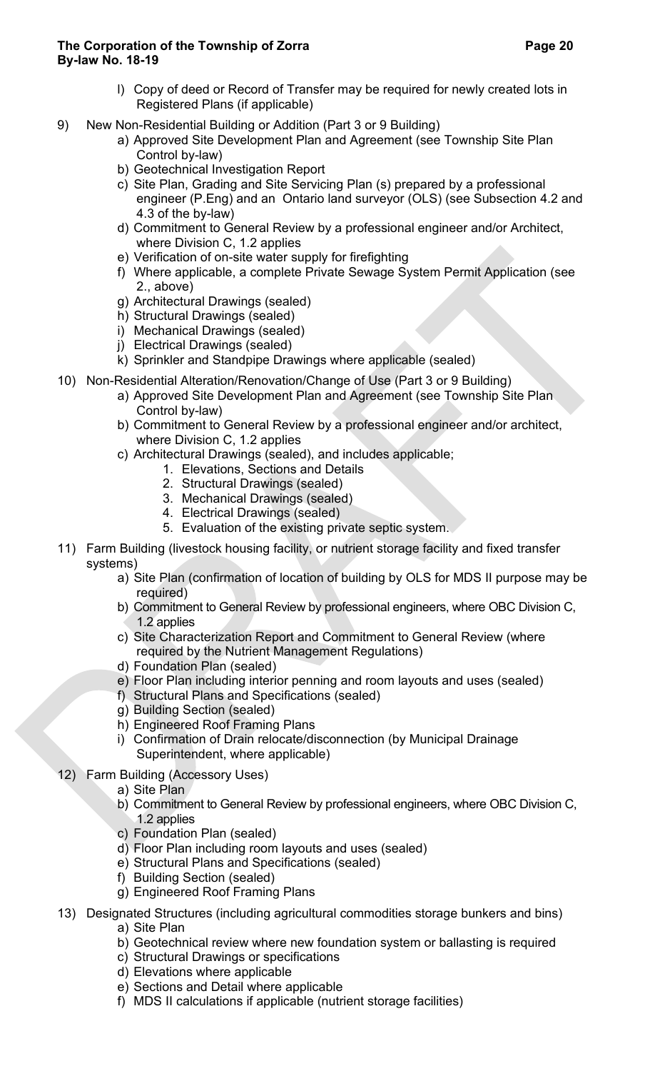- l) Copy of deed or Record of Transfer may be required for newly created lots in Registered Plans (if applicable)
- 9) New Non-Residential Building or Addition (Part 3 or 9 Building)
	- a) Approved Site Development Plan and Agreement (see Township Site Plan Control by-law)
	- b) Geotechnical Investigation Report
	- c) Site Plan, Grading and Site Servicing Plan (s) prepared by a professional engineer (P.Eng) and an Ontario land surveyor (OLS) (see Subsection 4.2 and 4.3 of the by-law)
	- d) Commitment to General Review by a professional engineer and/or Architect, where Division C, 1.2 applies
	- e) Verification of on-site water supply for firefighting
	- f) Where applicable, a complete Private Sewage System Permit Application (see 2., above)
	- g) Architectural Drawings (sealed)
	- h) Structural Drawings (sealed)
	- i) Mechanical Drawings (sealed)
	- j) Electrical Drawings (sealed)
	- k) Sprinkler and Standpipe Drawings where applicable (sealed)
- 10) Non-Residential Alteration/Renovation/Change of Use (Part 3 or 9 Building)
	- a) Approved Site Development Plan and Agreement (see Township Site Plan Control by-law)
	- b) Commitment to General Review by a professional engineer and/or architect, where Division C, 1.2 applies
	- c) Architectural Drawings (sealed), and includes applicable;
		- 1. Elevations, Sections and Details
		- 2. Structural Drawings (sealed)
		- 3. Mechanical Drawings (sealed)
		- 4. Electrical Drawings (sealed)
		- 5. Evaluation of the existing private septic system.
- 11) Farm Building (livestock housing facility, or nutrient storage facility and fixed transfer systems)
	- a) Site Plan (confirmation of location of building by OLS for MDS II purpose may be required)
	- b) Commitment to General Review by professional engineers, where OBC Division C, 1.2 applies
	- c) Site Characterization Report and Commitment to General Review (where required by the Nutrient Management Regulations)
	- d) Foundation Plan (sealed)
	- e) Floor Plan including interior penning and room layouts and uses (sealed)
	- f) Structural Plans and Specifications (sealed)
	- g) Building Section (sealed)
	- h) Engineered Roof Framing Plans
	- i) Confirmation of Drain relocate/disconnection (by Municipal Drainage Superintendent, where applicable)
- 12) Farm Building (Accessory Uses)
	- a) Site Plan
	- b) Commitment to General Review by professional engineers, where OBC Division C, 1.2 applies
	- c) Foundation Plan (sealed)
	- d) Floor Plan including room layouts and uses (sealed)
	- e) Structural Plans and Specifications (sealed)
	- f) Building Section (sealed)
	- g) Engineered Roof Framing Plans
- 13) Designated Structures (including agricultural commodities storage bunkers and bins) a) Site Plan
	- b) Geotechnical review where new foundation system or ballasting is required
	- c) Structural Drawings or specifications
	- d) Elevations where applicable
	- e) Sections and Detail where applicable
	- f) MDS II calculations if applicable (nutrient storage facilities)